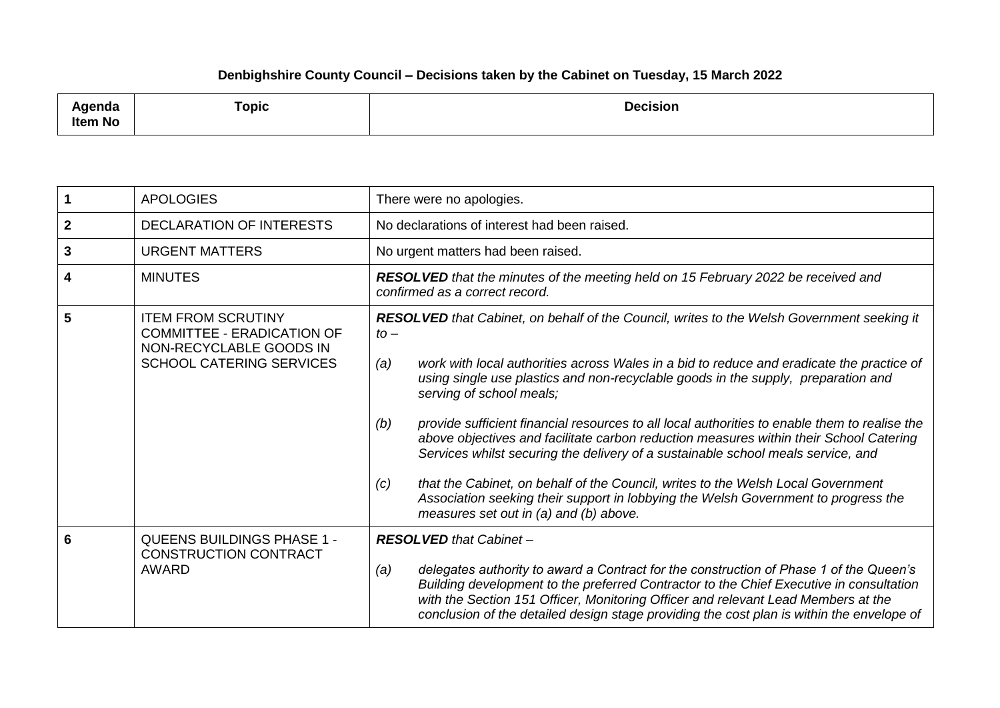## **Denbighshire County Council – Decisions taken by the Cabinet on Tuesday, 15 March 2022**

| ملتمين<br>agenaa<br><b>Item No</b> | Topic | <b>Decision</b> |
|------------------------------------|-------|-----------------|
|------------------------------------|-------|-----------------|

|              | <b>APOLOGIES</b>                                                                                                             | There were no apologies.                                                                                                                                                                                                                                                                                                                                                                                                                                                                                                                                                                                                                                                                                                                                                                                                                   |
|--------------|------------------------------------------------------------------------------------------------------------------------------|--------------------------------------------------------------------------------------------------------------------------------------------------------------------------------------------------------------------------------------------------------------------------------------------------------------------------------------------------------------------------------------------------------------------------------------------------------------------------------------------------------------------------------------------------------------------------------------------------------------------------------------------------------------------------------------------------------------------------------------------------------------------------------------------------------------------------------------------|
| $\mathbf{2}$ | <b>DECLARATION OF INTERESTS</b>                                                                                              | No declarations of interest had been raised.                                                                                                                                                                                                                                                                                                                                                                                                                                                                                                                                                                                                                                                                                                                                                                                               |
| 3            | <b>URGENT MATTERS</b>                                                                                                        | No urgent matters had been raised.                                                                                                                                                                                                                                                                                                                                                                                                                                                                                                                                                                                                                                                                                                                                                                                                         |
| 4            | <b>MINUTES</b>                                                                                                               | <b>RESOLVED</b> that the minutes of the meeting held on 15 February 2022 be received and<br>confirmed as a correct record.                                                                                                                                                                                                                                                                                                                                                                                                                                                                                                                                                                                                                                                                                                                 |
| 5            | <b>ITEM FROM SCRUTINY</b><br><b>COMMITTEE - ERADICATION OF</b><br>NON-RECYCLABLE GOODS IN<br><b>SCHOOL CATERING SERVICES</b> | RESOLVED that Cabinet, on behalf of the Council, writes to the Welsh Government seeking it<br>$to -$<br>work with local authorities across Wales in a bid to reduce and eradicate the practice of<br>(a)<br>using single use plastics and non-recyclable goods in the supply, preparation and<br>serving of school meals;<br>provide sufficient financial resources to all local authorities to enable them to realise the<br>(b)<br>above objectives and facilitate carbon reduction measures within their School Catering<br>Services whilst securing the delivery of a sustainable school meals service, and<br>that the Cabinet, on behalf of the Council, writes to the Welsh Local Government<br>(c)<br>Association seeking their support in lobbying the Welsh Government to progress the<br>measures set out in (a) and (b) above. |
| 6            | <b>QUEENS BUILDINGS PHASE 1 -</b><br><b>CONSTRUCTION CONTRACT</b><br>AWARD                                                   | <b>RESOLVED</b> that Cabinet -<br>delegates authority to award a Contract for the construction of Phase 1 of the Queen's<br>(a)<br>Building development to the preferred Contractor to the Chief Executive in consultation<br>with the Section 151 Officer, Monitoring Officer and relevant Lead Members at the<br>conclusion of the detailed design stage providing the cost plan is within the envelope of                                                                                                                                                                                                                                                                                                                                                                                                                               |